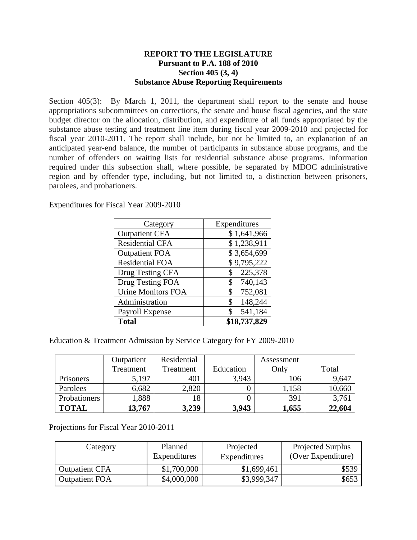## **REPORT TO THE LEGISLATURE Pursuant to P.A. 188 of 2010 Section 405 (3, 4) Substance Abuse Reporting Requirements**

Section 405(3): By March 1, 2011, the department shall report to the senate and house appropriations subcommittees on corrections, the senate and house fiscal agencies, and the state budget director on the allocation, distribution, and expenditure of all funds appropriated by the substance abuse testing and treatment line item during fiscal year 2009-2010 and projected for fiscal year 2010-2011. The report shall include, but not be limited to, an explanation of an anticipated year-end balance, the number of participants in substance abuse programs, and the number of offenders on waiting lists for residential substance abuse programs. Information required under this subsection shall, where possible, be separated by MDOC administrative region and by offender type, including, but not limited to, a distinction between prisoners, parolees, and probationers.

Expenditures for Fiscal Year 2009-2010

| Category                  | Expenditures  |
|---------------------------|---------------|
| <b>Outpatient CFA</b>     | \$1,641,966   |
| <b>Residential CFA</b>    | \$1,238,911   |
| <b>Outpatient FOA</b>     | \$3,654,699   |
| <b>Residential FOA</b>    | \$9,795,222   |
| Drug Testing CFA          | 225,378<br>\$ |
| Drug Testing FOA          | 740,143<br>\$ |
| <b>Urine Monitors FOA</b> | 752,081<br>\$ |
| Administration            | 148,244<br>\$ |
| Payroll Expense           | 541,184<br>\$ |
| <b>Total</b>              | \$18,737,829  |

Education & Treatment Admission by Service Category for FY 2009-2010

|              | Outpatient | Residential |           | Assessment |        |
|--------------|------------|-------------|-----------|------------|--------|
|              | Treatment  | Treatment   | Education | Only       | Total  |
| Prisoners    | 5,197      | 401         | 3.943     | 106        | 9,647  |
| Parolees     | 6,682      | 2,820       |           | ,158       | 10,660 |
| Probationers | 1,888      |             |           | 391        | 3,761  |
| <b>TOTAL</b> | 13,767     | 3,239       | 3,943     | 1,655      | 22,604 |

Projections for Fiscal Year 2010-2011

| Category              | Planned<br>Expenditures | Projected<br>Expenditures | <b>Projected Surplus</b><br>(Over Expenditure) |
|-----------------------|-------------------------|---------------------------|------------------------------------------------|
| <b>Outpatient CFA</b> | \$1,700,000             | \$1,699,461               | \$539                                          |
| <b>Outpatient FOA</b> | \$4,000,000             | \$3,999,347               | \$653                                          |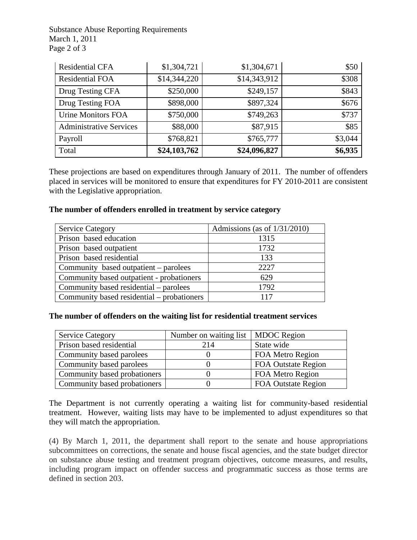Substance Abuse Reporting Requirements March 1, 2011 Page 2 of 3

| <b>Residential CFA</b>         | \$1,304,721  | \$1,304,671  | \$50    |
|--------------------------------|--------------|--------------|---------|
| <b>Residential FOA</b>         | \$14,344,220 | \$14,343,912 | \$308   |
| Drug Testing CFA               | \$250,000    | \$249,157    | \$843   |
| Drug Testing FOA               | \$898,000    | \$897,324    | \$676   |
| <b>Urine Monitors FOA</b>      | \$750,000    | \$749,263    | \$737   |
| <b>Administrative Services</b> | \$88,000     | \$87,915     | \$85    |
| Payroll                        | \$768,821    | \$765,777    | \$3,044 |
| Total                          | \$24,103,762 | \$24,096,827 | \$6,935 |

These projections are based on expenditures through January of 2011. The number of offenders placed in services will be monitored to ensure that expenditures for FY 2010-2011 are consistent with the Legislative appropriation.

#### **The number of offenders enrolled in treatment by service category**

| <b>Service Category</b>                    | Admissions (as of $1/31/2010$ ) |
|--------------------------------------------|---------------------------------|
| Prison based education                     | 1315                            |
| Prison based outpatient                    | 1732                            |
| Prison based residential                   | 133                             |
| Community based outpatient – parolees      | 2227                            |
| Community based outpatient - probationers  | 629                             |
| Community based residential – parolees     | 1792                            |
| Community based residential – probationers | 117                             |

# **The number of offenders on the waiting list for residential treatment services**

| <b>Service Category</b>      | Number on waiting list   MDOC Region |                            |
|------------------------------|--------------------------------------|----------------------------|
| Prison based residential     | 214                                  | State wide                 |
| Community based parolees     |                                      | FOA Metro Region           |
| Community based parolees     |                                      | <b>FOA Outstate Region</b> |
| Community based probationers |                                      | FOA Metro Region           |
| Community based probationers |                                      | <b>FOA Outstate Region</b> |

The Department is not currently operating a waiting list for community-based residential treatment. However, waiting lists may have to be implemented to adjust expenditures so that they will match the appropriation.

(4) By March 1, 2011, the department shall report to the senate and house appropriations subcommittees on corrections, the senate and house fiscal agencies, and the state budget director on substance abuse testing and treatment program objectives, outcome measures, and results, including program impact on offender success and programmatic success as those terms are defined in section 203.